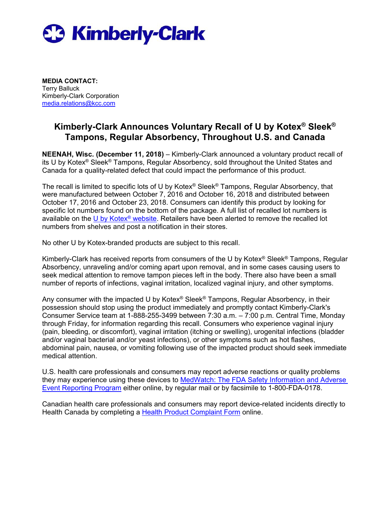

**MEDIA CONTACT:** Terry Balluck Kimberly-Clark Corporation [media.relations@kcc.com](mailto:ginny.dunn@kcc.com)

## **Kimberly-Clark Announces Voluntary Recall of U by Kotex® Sleek® Tampons, Regular Absorbency, Throughout U.S. and Canada**

**NEENAH, Wisc. (December 11, 2018)** – Kimberly-Clark announced a voluntary product recall of its U by Kotex® Sleek® Tampons, Regular Absorbency, sold throughout the United States and Canada for a quality-related defect that could impact the performance of this product.

The recall is limited to specific lots of U by Kotex<sup>®</sup> Sleek<sup>®</sup> Tampons, Regular Absorbency, that were manufactured between October 7, 2016 and October 16, 2018 and distributed between October 17, 2016 and October 23, 2018. Consumers can identify this product by looking for specific lot numbers found on the bottom of the package. A full list of recalled lot numbers is available on the U by Kotex<sup>®</sup> website. Retailers have been alerted to remove the recalled lot numbers from shelves and post a notification in their stores.

No other U by Kotex-branded products are subject to this recall.

Kimberly-Clark has received reports from consumers of the U by Kotex® Sleek® Tampons, Regular Absorbency, unraveling and/or coming apart upon removal, and in some cases causing users to seek medical attention to remove tampon pieces left in the body. There also have been a small number of reports of infections, vaginal irritation, localized vaginal injury, and other symptoms.

Any consumer with the impacted U by Kotex<sup>®</sup> Sleek<sup>®</sup> Tampons, Regular Absorbency, in their possession should stop using the product immediately and promptly contact Kimberly-Clark's Consumer Service team at 1-888-255-3499 between 7:30 a.m. – 7:00 p.m. Central Time, Monday through Friday, for information regarding this recall. Consumers who experience vaginal injury (pain, bleeding, or discomfort), vaginal irritation (itching or swelling), urogenital infections (bladder and/or vaginal bacterial and/or yeast infections), or other symptoms such as hot flashes, abdominal pain, nausea, or vomiting following use of the impacted product should seek immediate medical attention.

U.S. health care professionals and consumers may report adverse reactions or quality problems they may experience using these devices to [MedWatch: The FDA Safety Information and Adverse](https://www.accessdata.fda.gov/scripts/medwatch/)  [Event Reporting Program](https://www.accessdata.fda.gov/scripts/medwatch/) either online, by regular mail or by facsimile to 1-800-FDA-0178.

Canadian health care professionals and consumers may report device-related incidents directly to Health Canada by completing a [Health Product Complaint Form](http://health.canada.ca/en/health-canada/services/drugs-health-products/compliance-enforcement/problem-reporting/health-product-complaint-form-0317.html) online.